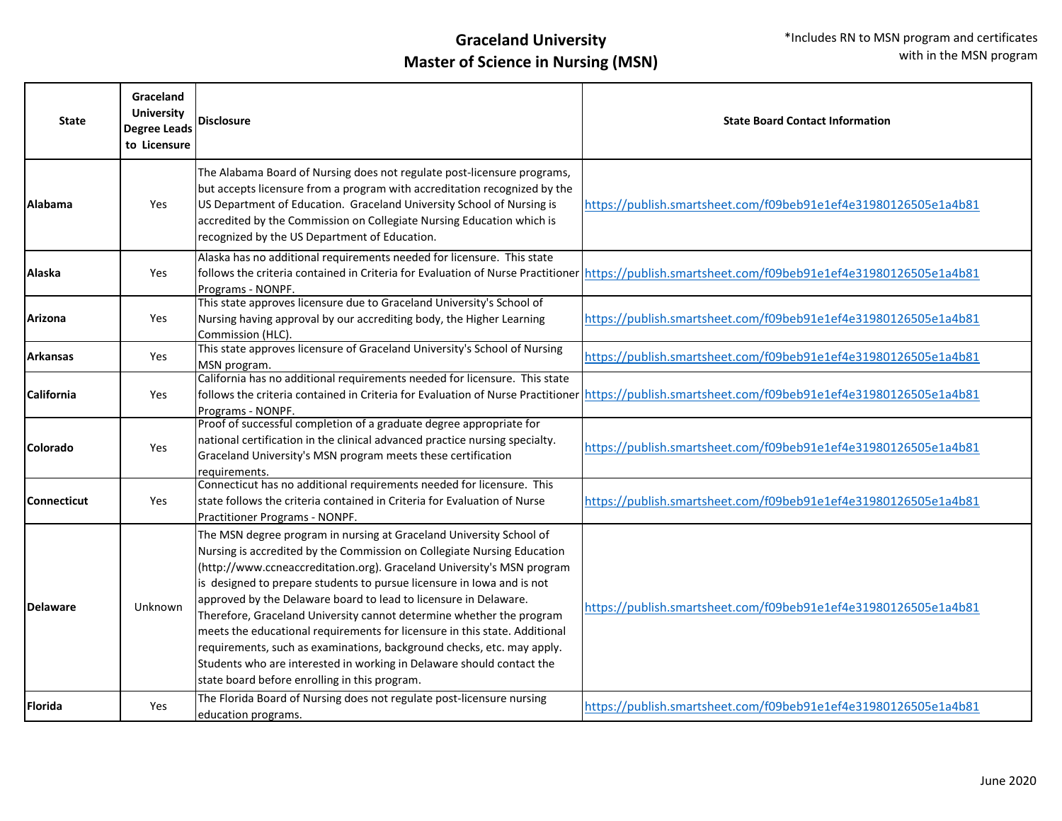| <b>State</b>       | Graceland<br><b>University</b><br><b>Degree Leads</b><br>to Licensure | <b>Disclosure</b>                                                                                                                                                                                                                                                                                                                                                                                                                                                                                                                                                                                                                                                                                                                | <b>State Board Contact Information</b>                                                                                                          |
|--------------------|-----------------------------------------------------------------------|----------------------------------------------------------------------------------------------------------------------------------------------------------------------------------------------------------------------------------------------------------------------------------------------------------------------------------------------------------------------------------------------------------------------------------------------------------------------------------------------------------------------------------------------------------------------------------------------------------------------------------------------------------------------------------------------------------------------------------|-------------------------------------------------------------------------------------------------------------------------------------------------|
| <b>Alabama</b>     | Yes                                                                   | The Alabama Board of Nursing does not regulate post-licensure programs,<br>but accepts licensure from a program with accreditation recognized by the<br>US Department of Education. Graceland University School of Nursing is<br>accredited by the Commission on Collegiate Nursing Education which is<br>recognized by the US Department of Education.                                                                                                                                                                                                                                                                                                                                                                          | https://publish.smartsheet.com/f09beb91e1ef4e31980126505e1a4b81                                                                                 |
| <b>Alaska</b>      | Yes                                                                   | Alaska has no additional requirements needed for licensure. This state<br>Programs - NONPF.                                                                                                                                                                                                                                                                                                                                                                                                                                                                                                                                                                                                                                      | follows the criteria contained in Criteria for Evaluation of Nurse Practitioner https://publish.smartsheet.com/f09beb91e1ef4e31980126505e1a4b81 |
| Arizona            | Yes                                                                   | This state approves licensure due to Graceland University's School of<br>Nursing having approval by our accrediting body, the Higher Learning<br>Commission (HLC).                                                                                                                                                                                                                                                                                                                                                                                                                                                                                                                                                               | https://publish.smartsheet.com/f09beb91e1ef4e31980126505e1a4b81                                                                                 |
| <b>Arkansas</b>    | Yes                                                                   | This state approves licensure of Graceland University's School of Nursing<br>MSN program.                                                                                                                                                                                                                                                                                                                                                                                                                                                                                                                                                                                                                                        | https://publish.smartsheet.com/f09beb91e1ef4e31980126505e1a4b81                                                                                 |
| California         | Yes                                                                   | California has no additional requirements needed for licensure. This state<br>follows the criteria contained in Criteria for Evaluation of Nurse Practitioner<br>Programs - NONPF.                                                                                                                                                                                                                                                                                                                                                                                                                                                                                                                                               | https://publish.smartsheet.com/f09beb91e1ef4e31980126505e1a4b81                                                                                 |
| <b>Colorado</b>    | Yes                                                                   | Proof of successful completion of a graduate degree appropriate for<br>national certification in the clinical advanced practice nursing specialty.<br>Graceland University's MSN program meets these certification<br>requirements.                                                                                                                                                                                                                                                                                                                                                                                                                                                                                              | https://publish.smartsheet.com/f09beb91e1ef4e31980126505e1a4b81                                                                                 |
| <b>Connecticut</b> | Yes                                                                   | Connecticut has no additional requirements needed for licensure. This<br>state follows the criteria contained in Criteria for Evaluation of Nurse<br>Practitioner Programs - NONPF.                                                                                                                                                                                                                                                                                                                                                                                                                                                                                                                                              | https://publish.smartsheet.com/f09beb91e1ef4e31980126505e1a4b81                                                                                 |
| <b>Delaware</b>    | Unknown                                                               | The MSN degree program in nursing at Graceland University School of<br>Nursing is accredited by the Commission on Collegiate Nursing Education<br>(http://www.ccneaccreditation.org). Graceland University's MSN program<br>is designed to prepare students to pursue licensure in lowa and is not<br>approved by the Delaware board to lead to licensure in Delaware.<br>Therefore, Graceland University cannot determine whether the program<br>meets the educational requirements for licensure in this state. Additional<br>requirements, such as examinations, background checks, etc. may apply.<br>Students who are interested in working in Delaware should contact the<br>state board before enrolling in this program. | https://publish.smartsheet.com/f09beb91e1ef4e31980126505e1a4b81                                                                                 |
| <b>Florida</b>     | Yes                                                                   | The Florida Board of Nursing does not regulate post-licensure nursing<br>education programs.                                                                                                                                                                                                                                                                                                                                                                                                                                                                                                                                                                                                                                     | https://publish.smartsheet.com/f09beb91e1ef4e31980126505e1a4b81                                                                                 |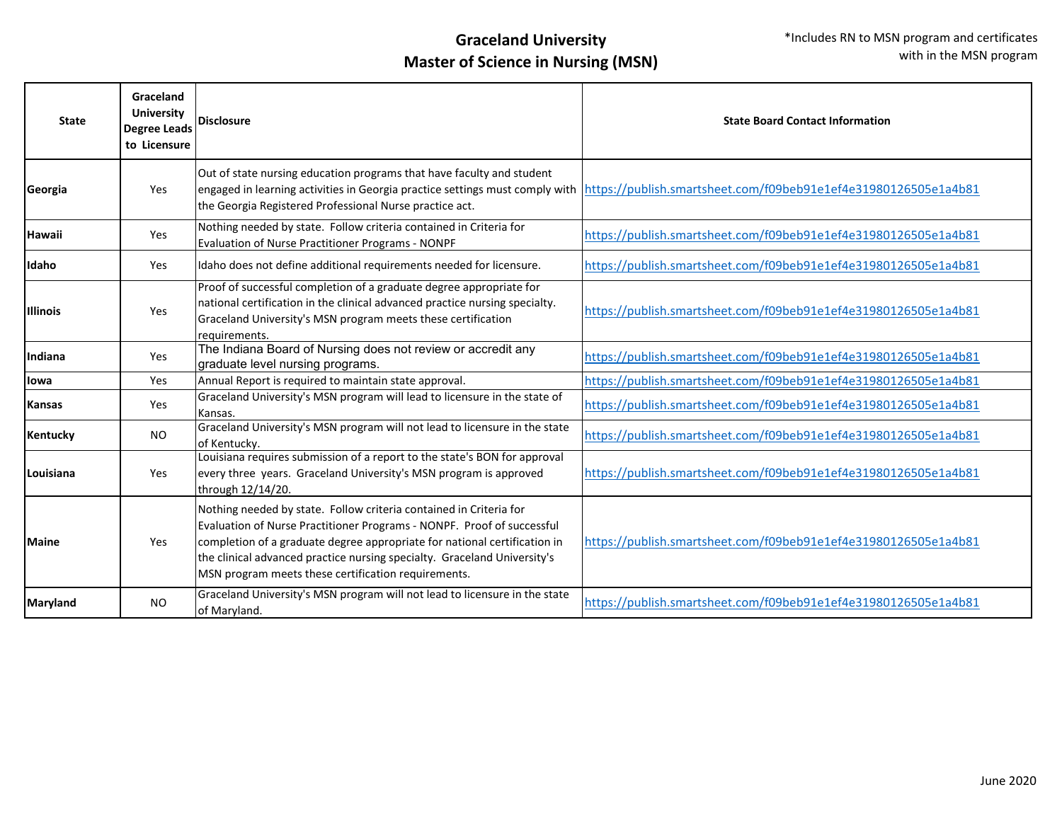| <b>State</b>    | Graceland<br><b>University</b><br>Degree Leads<br>to Licensure | Disclosure                                                                                                                                                                                                                                                                                                                                                   | <b>State Board Contact Information</b>                                                                                                                                                                                                                                                 |
|-----------------|----------------------------------------------------------------|--------------------------------------------------------------------------------------------------------------------------------------------------------------------------------------------------------------------------------------------------------------------------------------------------------------------------------------------------------------|----------------------------------------------------------------------------------------------------------------------------------------------------------------------------------------------------------------------------------------------------------------------------------------|
| Georgia         | Yes                                                            | Out of state nursing education programs that have faculty and student<br>the Georgia Registered Professional Nurse practice act.                                                                                                                                                                                                                             | engaged in learning activities in Georgia practice settings must comply with $\frac{ \text{https:///\text{publish}}.smartsheet.com/ \text{f09beb91e1e} \text{f4e31980126505e1a4b81}}{ \text{https:///\text{publish}}.smartsheet.com/ \text{f09beb91e1e} \text{f4e31980126505e1a4b81}}$ |
| <b>Hawaii</b>   | Yes                                                            | Nothing needed by state. Follow criteria contained in Criteria for<br>Evaluation of Nurse Practitioner Programs - NONPF                                                                                                                                                                                                                                      | https://publish.smartsheet.com/f09beb91e1ef4e31980126505e1a4b81                                                                                                                                                                                                                        |
| <b>Idaho</b>    | Yes                                                            | Idaho does not define additional requirements needed for licensure.                                                                                                                                                                                                                                                                                          | https://publish.smartsheet.com/f09beb91e1ef4e31980126505e1a4b81                                                                                                                                                                                                                        |
| <b>Illinois</b> | Yes                                                            | Proof of successful completion of a graduate degree appropriate for<br>national certification in the clinical advanced practice nursing specialty.<br>Graceland University's MSN program meets these certification<br>requirements.                                                                                                                          | https://publish.smartsheet.com/f09beb91e1ef4e31980126505e1a4b81                                                                                                                                                                                                                        |
| Indiana         | Yes                                                            | The Indiana Board of Nursing does not review or accredit any<br>graduate level nursing programs.                                                                                                                                                                                                                                                             | https://publish.smartsheet.com/f09beb91e1ef4e31980126505e1a4b81                                                                                                                                                                                                                        |
| llowa           | Yes                                                            | Annual Report is required to maintain state approval.                                                                                                                                                                                                                                                                                                        | https://publish.smartsheet.com/f09beb91e1ef4e31980126505e1a4b81                                                                                                                                                                                                                        |
| Kansas          | Yes                                                            | Graceland University's MSN program will lead to licensure in the state of<br>Kansas.                                                                                                                                                                                                                                                                         | https://publish.smartsheet.com/f09beb91e1ef4e31980126505e1a4b81                                                                                                                                                                                                                        |
| Kentucky        | <b>NO</b>                                                      | Graceland University's MSN program will not lead to licensure in the state<br>of Kentucky.                                                                                                                                                                                                                                                                   | https://publish.smartsheet.com/f09beb91e1ef4e31980126505e1a4b81                                                                                                                                                                                                                        |
| Louisiana       | Yes                                                            | Louisiana requires submission of a report to the state's BON for approval<br>every three years. Graceland University's MSN program is approved<br>through 12/14/20.                                                                                                                                                                                          | https://publish.smartsheet.com/f09beb91e1ef4e31980126505e1a4b81                                                                                                                                                                                                                        |
| <b>Maine</b>    | Yes                                                            | Nothing needed by state. Follow criteria contained in Criteria for<br>Evaluation of Nurse Practitioner Programs - NONPF. Proof of successful<br>completion of a graduate degree appropriate for national certification in<br>the clinical advanced practice nursing specialty. Graceland University's<br>MSN program meets these certification requirements. | https://publish.smartsheet.com/f09beb91e1ef4e31980126505e1a4b81                                                                                                                                                                                                                        |
| Maryland        | <b>NO</b>                                                      | Graceland University's MSN program will not lead to licensure in the state<br>of Maryland.                                                                                                                                                                                                                                                                   | https://publish.smartsheet.com/f09beb91e1ef4e31980126505e1a4b81                                                                                                                                                                                                                        |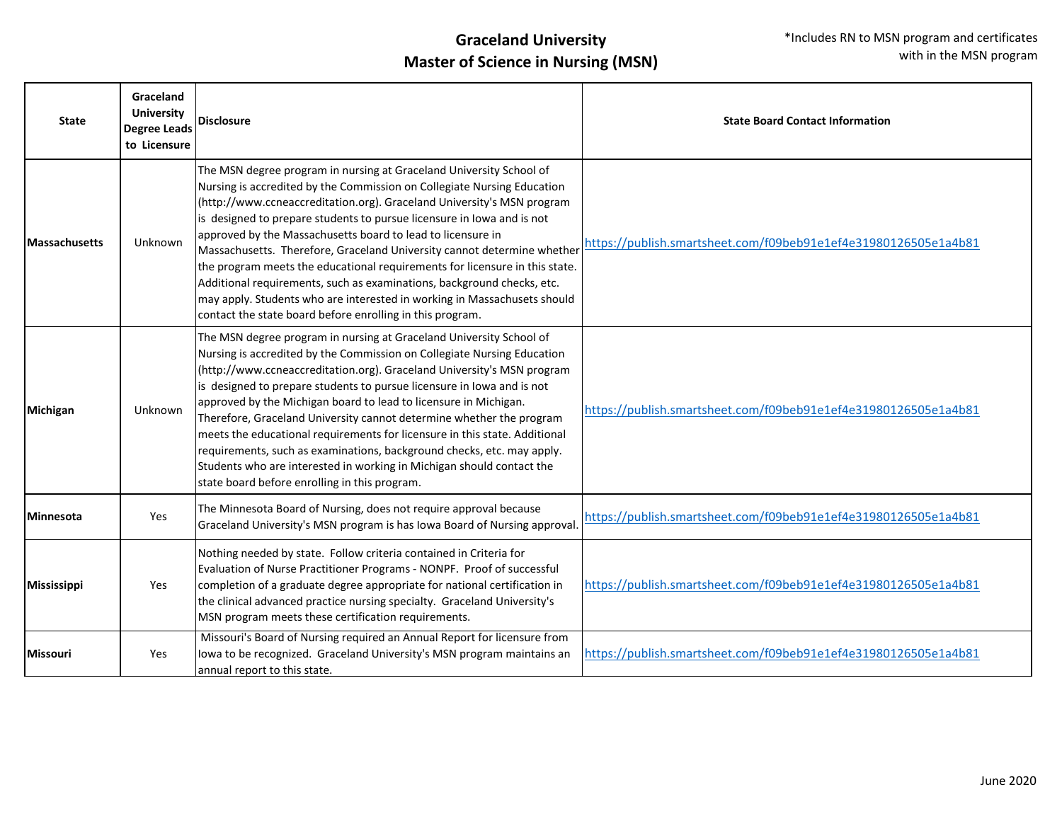| <b>State</b>         | Graceland<br><b>University</b><br><b>Degree Leads</b><br>to Licensure | <b>Disclosure</b>                                                                                                                                                                                                                                                                                                                                                                                                                                                                                                                                                                                                                                                                                                                              | <b>State Board Contact Information</b>                          |
|----------------------|-----------------------------------------------------------------------|------------------------------------------------------------------------------------------------------------------------------------------------------------------------------------------------------------------------------------------------------------------------------------------------------------------------------------------------------------------------------------------------------------------------------------------------------------------------------------------------------------------------------------------------------------------------------------------------------------------------------------------------------------------------------------------------------------------------------------------------|-----------------------------------------------------------------|
| <b>Massachusetts</b> | Unknown                                                               | The MSN degree program in nursing at Graceland University School of<br>Nursing is accredited by the Commission on Collegiate Nursing Education<br>(http://www.ccneaccreditation.org). Graceland University's MSN program<br>is designed to prepare students to pursue licensure in lowa and is not<br>approved by the Massachusetts board to lead to licensure in<br>Massachusetts. Therefore, Graceland University cannot determine whether<br>the program meets the educational requirements for licensure in this state.<br>Additional requirements, such as examinations, background checks, etc.<br>may apply. Students who are interested in working in Massachusets should<br>contact the state board before enrolling in this program. | https://publish.smartsheet.com/f09beb91e1ef4e31980126505e1a4b81 |
| Michigan             | Unknown                                                               | The MSN degree program in nursing at Graceland University School of<br>Nursing is accredited by the Commission on Collegiate Nursing Education<br>(http://www.ccneaccreditation.org). Graceland University's MSN program<br>is designed to prepare students to pursue licensure in lowa and is not<br>approved by the Michigan board to lead to licensure in Michigan.<br>Therefore, Graceland University cannot determine whether the program<br>meets the educational requirements for licensure in this state. Additional<br>requirements, such as examinations, background checks, etc. may apply.<br>Students who are interested in working in Michigan should contact the<br>state board before enrolling in this program.               | https://publish.smartsheet.com/f09beb91e1ef4e31980126505e1a4b81 |
| <b>Minnesota</b>     | Yes                                                                   | The Minnesota Board of Nursing, does not require approval because<br>Graceland University's MSN program is has lowa Board of Nursing approval.                                                                                                                                                                                                                                                                                                                                                                                                                                                                                                                                                                                                 | https://publish.smartsheet.com/f09beb91e1ef4e31980126505e1a4b81 |
| <b>Mississippi</b>   | Yes                                                                   | Nothing needed by state. Follow criteria contained in Criteria for<br>Evaluation of Nurse Practitioner Programs - NONPF. Proof of successful<br>completion of a graduate degree appropriate for national certification in<br>the clinical advanced practice nursing specialty. Graceland University's<br>MSN program meets these certification requirements.                                                                                                                                                                                                                                                                                                                                                                                   | https://publish.smartsheet.com/f09beb91e1ef4e31980126505e1a4b81 |
| <b>Missouri</b>      | Yes                                                                   | Missouri's Board of Nursing required an Annual Report for licensure from<br>lowa to be recognized. Graceland University's MSN program maintains an<br>annual report to this state.                                                                                                                                                                                                                                                                                                                                                                                                                                                                                                                                                             | https://publish.smartsheet.com/f09beb91e1ef4e31980126505e1a4b81 |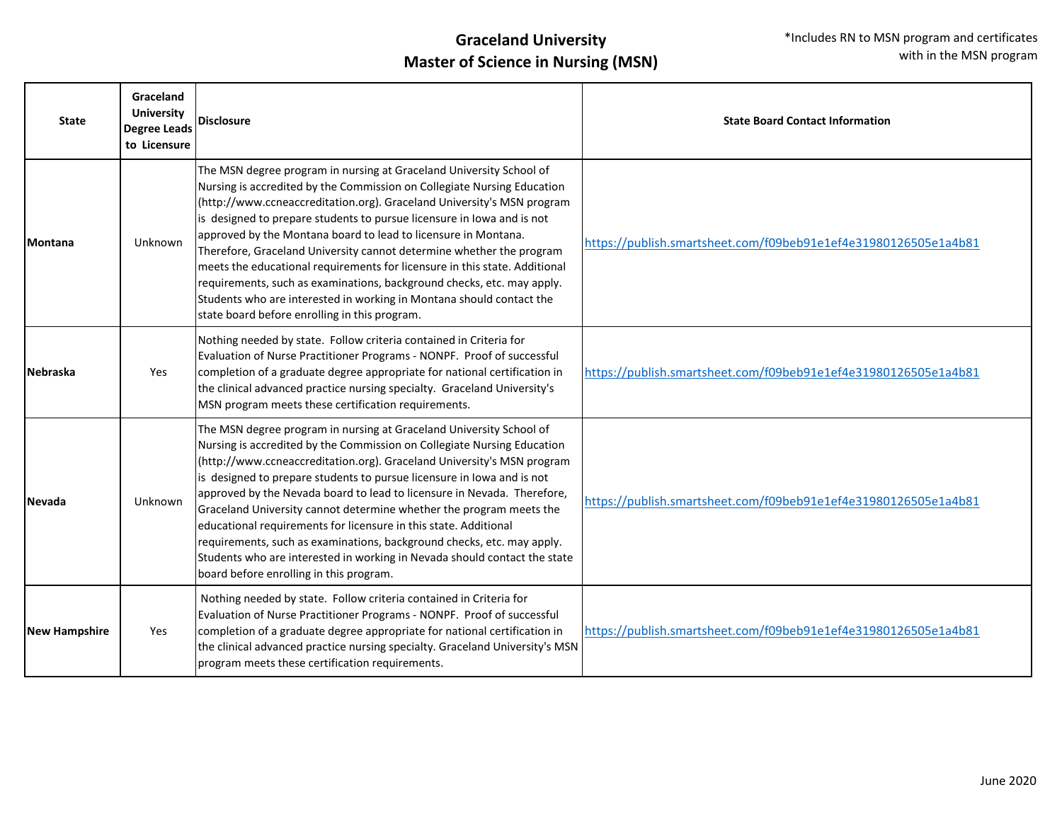| <b>State</b>         | Graceland<br><b>University</b><br><b>Degree Leads</b><br>to Licensure | <b>Disclosure</b>                                                                                                                                                                                                                                                                                                                                                                                                                                                                                                                                                                                                                                                                                                             | <b>State Board Contact Information</b>                          |
|----------------------|-----------------------------------------------------------------------|-------------------------------------------------------------------------------------------------------------------------------------------------------------------------------------------------------------------------------------------------------------------------------------------------------------------------------------------------------------------------------------------------------------------------------------------------------------------------------------------------------------------------------------------------------------------------------------------------------------------------------------------------------------------------------------------------------------------------------|-----------------------------------------------------------------|
| <b>Montana</b>       | Unknown                                                               | The MSN degree program in nursing at Graceland University School of<br>Nursing is accredited by the Commission on Collegiate Nursing Education<br>(http://www.ccneaccreditation.org). Graceland University's MSN program<br>is designed to prepare students to pursue licensure in lowa and is not<br>approved by the Montana board to lead to licensure in Montana.<br>Therefore, Graceland University cannot determine whether the program<br>meets the educational requirements for licensure in this state. Additional<br>requirements, such as examinations, background checks, etc. may apply.<br>Students who are interested in working in Montana should contact the<br>state board before enrolling in this program. | https://publish.smartsheet.com/f09beb91e1ef4e31980126505e1a4b81 |
| <b>Nebraska</b>      | Yes                                                                   | Nothing needed by state. Follow criteria contained in Criteria for<br>Evaluation of Nurse Practitioner Programs - NONPF. Proof of successful<br>completion of a graduate degree appropriate for national certification in<br>the clinical advanced practice nursing specialty. Graceland University's<br>MSN program meets these certification requirements.                                                                                                                                                                                                                                                                                                                                                                  | https://publish.smartsheet.com/f09beb91e1ef4e31980126505e1a4b81 |
| Nevada               | Unknown                                                               | The MSN degree program in nursing at Graceland University School of<br>Nursing is accredited by the Commission on Collegiate Nursing Education<br>(http://www.ccneaccreditation.org). Graceland University's MSN program<br>is designed to prepare students to pursue licensure in lowa and is not<br>approved by the Nevada board to lead to licensure in Nevada. Therefore,<br>Graceland University cannot determine whether the program meets the<br>educational requirements for licensure in this state. Additional<br>requirements, such as examinations, background checks, etc. may apply.<br>Students who are interested in working in Nevada should contact the state<br>board before enrolling in this program.    | https://publish.smartsheet.com/f09beb91e1ef4e31980126505e1a4b81 |
| <b>New Hampshire</b> | Yes                                                                   | Nothing needed by state. Follow criteria contained in Criteria for<br>Evaluation of Nurse Practitioner Programs - NONPF. Proof of successful<br>completion of a graduate degree appropriate for national certification in<br>the clinical advanced practice nursing specialty. Graceland University's MSN<br>program meets these certification requirements.                                                                                                                                                                                                                                                                                                                                                                  | https://publish.smartsheet.com/f09beb91e1ef4e31980126505e1a4b81 |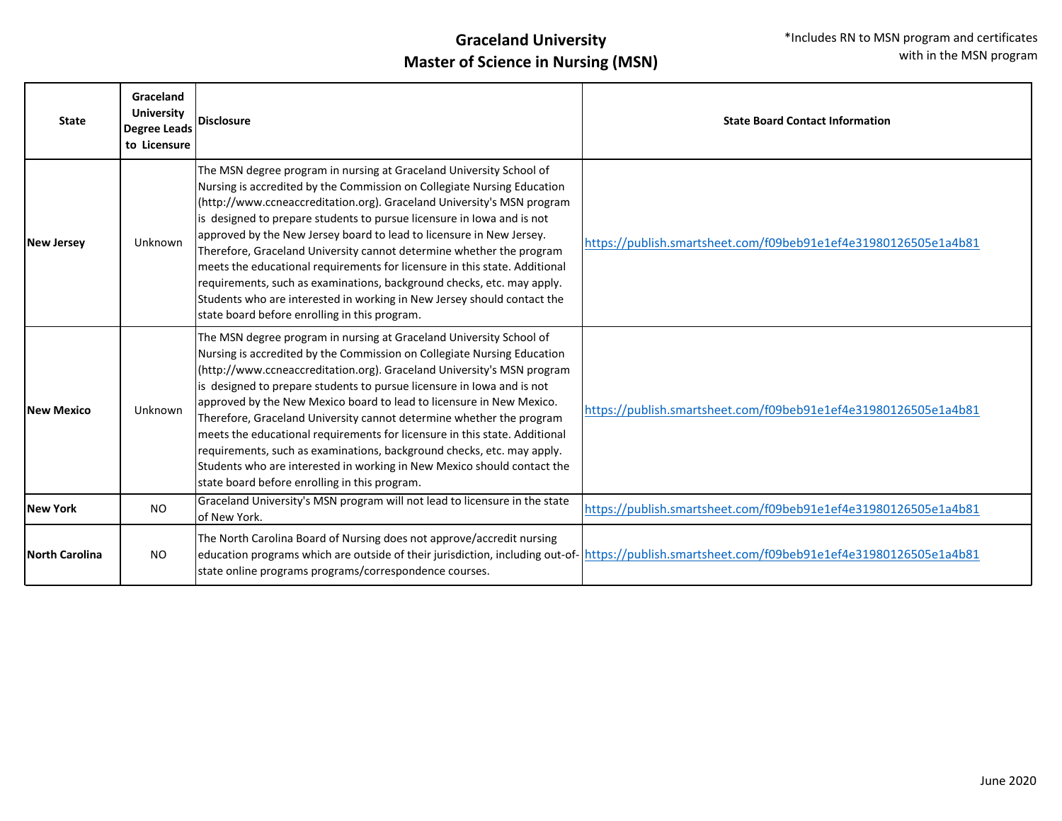| <b>State</b>          | Graceland<br><b>University</b><br><b>Degree Leads</b><br>to Licensure | Disclosure                                                                                                                                                                                                                                                                                                                                                                                                                                                                                                                                                                                                                                                                                                                             | <b>State Board Contact Information</b>                                                                                                        |
|-----------------------|-----------------------------------------------------------------------|----------------------------------------------------------------------------------------------------------------------------------------------------------------------------------------------------------------------------------------------------------------------------------------------------------------------------------------------------------------------------------------------------------------------------------------------------------------------------------------------------------------------------------------------------------------------------------------------------------------------------------------------------------------------------------------------------------------------------------------|-----------------------------------------------------------------------------------------------------------------------------------------------|
| <b>New Jersey</b>     | Unknown                                                               | The MSN degree program in nursing at Graceland University School of<br>Nursing is accredited by the Commission on Collegiate Nursing Education<br>(http://www.ccneaccreditation.org). Graceland University's MSN program<br>is designed to prepare students to pursue licensure in lowa and is not<br>approved by the New Jersey board to lead to licensure in New Jersey.<br>Therefore, Graceland University cannot determine whether the program<br>meets the educational requirements for licensure in this state. Additional<br>requirements, such as examinations, background checks, etc. may apply.<br>Students who are interested in working in New Jersey should contact the<br>state board before enrolling in this program. | https://publish.smartsheet.com/f09beb91e1ef4e31980126505e1a4b81                                                                               |
| <b>New Mexico</b>     | Unknown                                                               | The MSN degree program in nursing at Graceland University School of<br>Nursing is accredited by the Commission on Collegiate Nursing Education<br>(http://www.ccneaccreditation.org). Graceland University's MSN program<br>is designed to prepare students to pursue licensure in lowa and is not<br>approved by the New Mexico board to lead to licensure in New Mexico.<br>Therefore, Graceland University cannot determine whether the program<br>meets the educational requirements for licensure in this state. Additional<br>requirements, such as examinations, background checks, etc. may apply.<br>Students who are interested in working in New Mexico should contact the<br>state board before enrolling in this program. | https://publish.smartsheet.com/f09beb91e1ef4e31980126505e1a4b81                                                                               |
| <b>New York</b>       | <b>NO</b>                                                             | Graceland University's MSN program will not lead to licensure in the state<br>of New York.                                                                                                                                                                                                                                                                                                                                                                                                                                                                                                                                                                                                                                             | https://publish.smartsheet.com/f09beb91e1ef4e31980126505e1a4b81                                                                               |
| <b>North Carolina</b> | NO.                                                                   | The North Carolina Board of Nursing does not approve/accredit nursing<br>state online programs programs/correspondence courses.                                                                                                                                                                                                                                                                                                                                                                                                                                                                                                                                                                                                        | education programs which are outside of their jurisdiction, including out-of- https://publish.smartsheet.com/f09beb91e1ef4e31980126505e1a4b81 |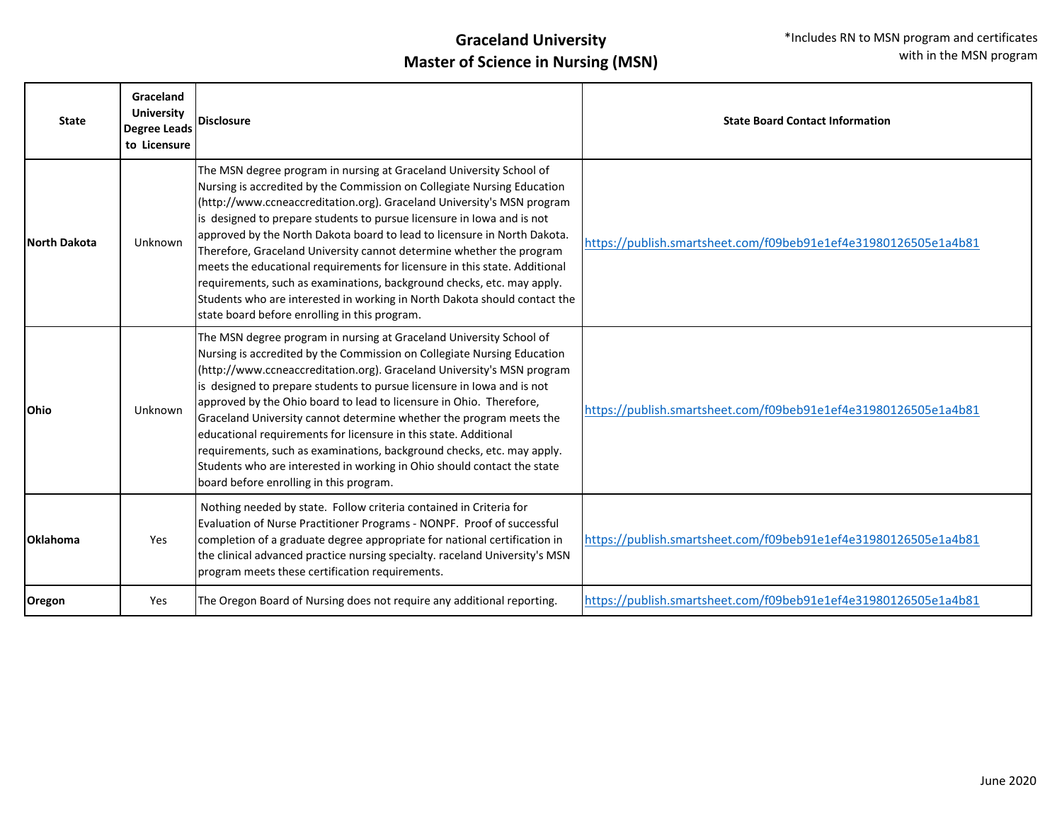| <b>State</b>        | Graceland<br><b>University</b><br><b>Degree Leads</b><br>to Licensure | <b>Disclosure</b>                                                                                                                                                                                                                                                                                                                                                                                                                                                                                                                                                                                                                                                                                                                            | <b>State Board Contact Information</b>                          |
|---------------------|-----------------------------------------------------------------------|----------------------------------------------------------------------------------------------------------------------------------------------------------------------------------------------------------------------------------------------------------------------------------------------------------------------------------------------------------------------------------------------------------------------------------------------------------------------------------------------------------------------------------------------------------------------------------------------------------------------------------------------------------------------------------------------------------------------------------------------|-----------------------------------------------------------------|
| <b>North Dakota</b> | Unknown                                                               | The MSN degree program in nursing at Graceland University School of<br>Nursing is accredited by the Commission on Collegiate Nursing Education<br>(http://www.ccneaccreditation.org). Graceland University's MSN program<br>is designed to prepare students to pursue licensure in lowa and is not<br>approved by the North Dakota board to lead to licensure in North Dakota.<br>Therefore, Graceland University cannot determine whether the program<br>meets the educational requirements for licensure in this state. Additional<br>requirements, such as examinations, background checks, etc. may apply.<br>Students who are interested in working in North Dakota should contact the<br>state board before enrolling in this program. | https://publish.smartsheet.com/f09beb91e1ef4e31980126505e1a4b81 |
| <b>Ohio</b>         | Unknown                                                               | The MSN degree program in nursing at Graceland University School of<br>Nursing is accredited by the Commission on Collegiate Nursing Education<br>(http://www.ccneaccreditation.org). Graceland University's MSN program<br>is designed to prepare students to pursue licensure in lowa and is not<br>approved by the Ohio board to lead to licensure in Ohio. Therefore,<br>Graceland University cannot determine whether the program meets the<br>educational requirements for licensure in this state. Additional<br>requirements, such as examinations, background checks, etc. may apply.<br>Students who are interested in working in Ohio should contact the state<br>board before enrolling in this program.                         | https://publish.smartsheet.com/f09beb91e1ef4e31980126505e1a4b81 |
| Oklahoma            | Yes                                                                   | Nothing needed by state. Follow criteria contained in Criteria for<br>Evaluation of Nurse Practitioner Programs - NONPF. Proof of successful<br>completion of a graduate degree appropriate for national certification in<br>the clinical advanced practice nursing specialty. raceland University's MSN<br>program meets these certification requirements.                                                                                                                                                                                                                                                                                                                                                                                  | https://publish.smartsheet.com/f09beb91e1ef4e31980126505e1a4b81 |
| Oregon              | Yes                                                                   | The Oregon Board of Nursing does not require any additional reporting.                                                                                                                                                                                                                                                                                                                                                                                                                                                                                                                                                                                                                                                                       | https://publish.smartsheet.com/f09beb91e1ef4e31980126505e1a4b81 |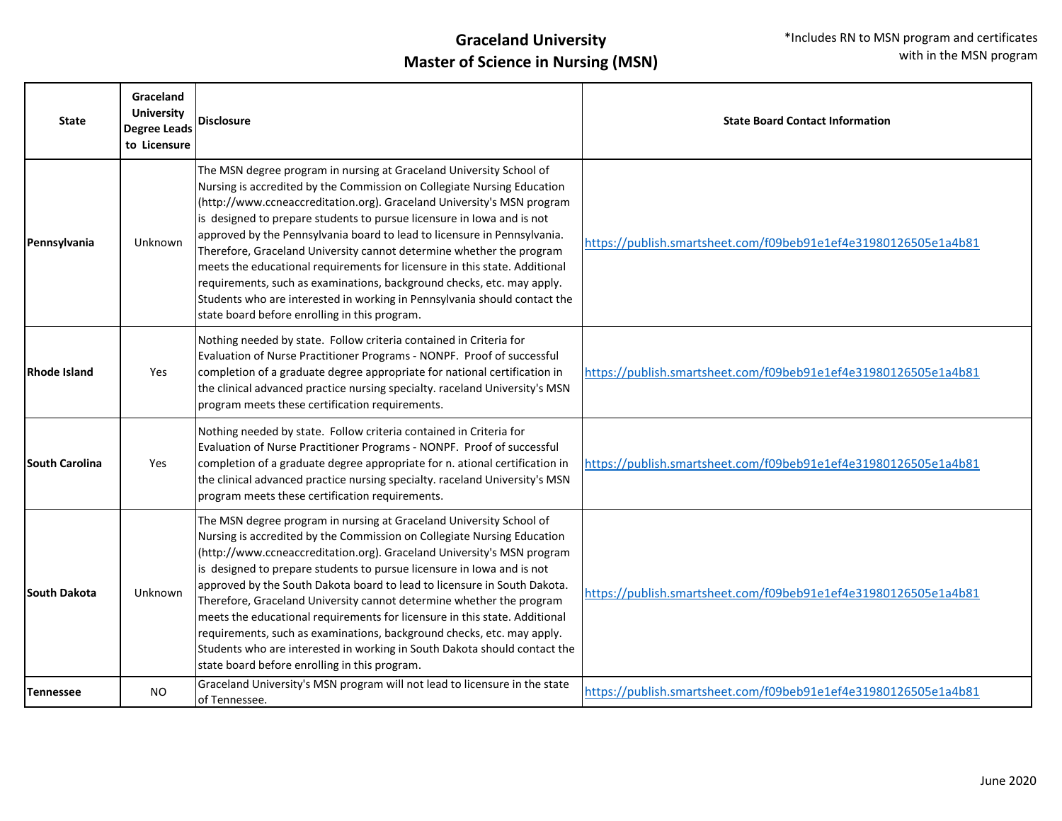| <b>State</b>          | Graceland<br><b>University</b><br><b>Degree Leads</b><br>to Licensure | <b>Disclosure</b>                                                                                                                                                                                                                                                                                                                                                                                                                                                                                                                                                                                                                                                                                                                            | <b>State Board Contact Information</b>                          |
|-----------------------|-----------------------------------------------------------------------|----------------------------------------------------------------------------------------------------------------------------------------------------------------------------------------------------------------------------------------------------------------------------------------------------------------------------------------------------------------------------------------------------------------------------------------------------------------------------------------------------------------------------------------------------------------------------------------------------------------------------------------------------------------------------------------------------------------------------------------------|-----------------------------------------------------------------|
| Pennsylvania          | Unknown                                                               | The MSN degree program in nursing at Graceland University School of<br>Nursing is accredited by the Commission on Collegiate Nursing Education<br>(http://www.ccneaccreditation.org). Graceland University's MSN program<br>is designed to prepare students to pursue licensure in lowa and is not<br>approved by the Pennsylvania board to lead to licensure in Pennsylvania.<br>Therefore, Graceland University cannot determine whether the program<br>meets the educational requirements for licensure in this state. Additional<br>requirements, such as examinations, background checks, etc. may apply.<br>Students who are interested in working in Pennsylvania should contact the<br>state board before enrolling in this program. | https://publish.smartsheet.com/f09beb91e1ef4e31980126505e1a4b81 |
| Rhode Island          | Yes                                                                   | Nothing needed by state. Follow criteria contained in Criteria for<br>Evaluation of Nurse Practitioner Programs - NONPF. Proof of successful<br>completion of a graduate degree appropriate for national certification in<br>the clinical advanced practice nursing specialty. raceland University's MSN<br>program meets these certification requirements.                                                                                                                                                                                                                                                                                                                                                                                  | https://publish.smartsheet.com/f09beb91e1ef4e31980126505e1a4b81 |
| <b>South Carolina</b> | Yes                                                                   | Nothing needed by state. Follow criteria contained in Criteria for<br>Evaluation of Nurse Practitioner Programs - NONPF. Proof of successful<br>completion of a graduate degree appropriate for n. ational certification in<br>the clinical advanced practice nursing specialty. raceland University's MSN<br>program meets these certification requirements.                                                                                                                                                                                                                                                                                                                                                                                | https://publish.smartsheet.com/f09beb91e1ef4e31980126505e1a4b81 |
| <b>South Dakota</b>   | Unknown                                                               | The MSN degree program in nursing at Graceland University School of<br>Nursing is accredited by the Commission on Collegiate Nursing Education<br>(http://www.ccneaccreditation.org). Graceland University's MSN program<br>is designed to prepare students to pursue licensure in lowa and is not<br>approved by the South Dakota board to lead to licensure in South Dakota.<br>Therefore, Graceland University cannot determine whether the program<br>meets the educational requirements for licensure in this state. Additional<br>requirements, such as examinations, background checks, etc. may apply.<br>Students who are interested in working in South Dakota should contact the<br>state board before enrolling in this program. | https://publish.smartsheet.com/f09beb91e1ef4e31980126505e1a4b81 |
| <b>Tennessee</b>      | NO.                                                                   | Graceland University's MSN program will not lead to licensure in the state<br>of Tennessee.                                                                                                                                                                                                                                                                                                                                                                                                                                                                                                                                                                                                                                                  | https://publish.smartsheet.com/f09beb91e1ef4e31980126505e1a4b81 |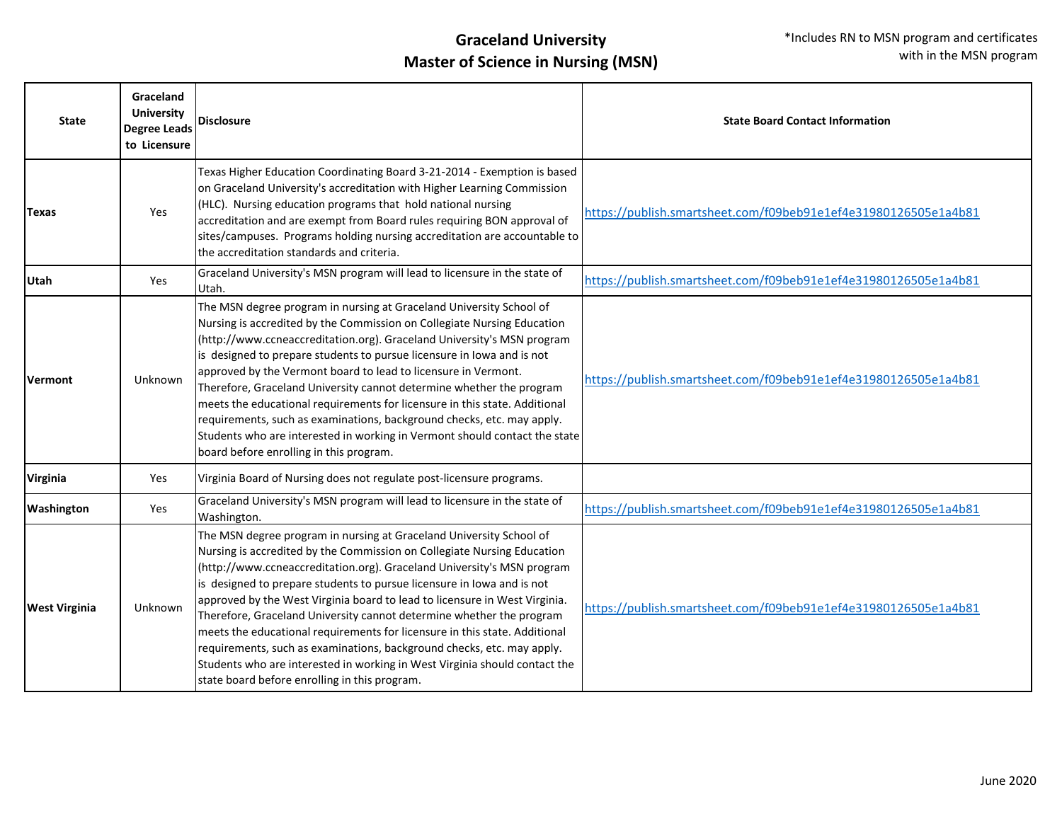| <b>State</b>         | Graceland<br><b>University</b><br><b>Degree Leads</b><br>to Licensure | <b>Disclosure</b>                                                                                                                                                                                                                                                                                                                                                                                                                                                                                                                                                                                                                                                                                                                               | <b>State Board Contact Information</b>                          |
|----------------------|-----------------------------------------------------------------------|-------------------------------------------------------------------------------------------------------------------------------------------------------------------------------------------------------------------------------------------------------------------------------------------------------------------------------------------------------------------------------------------------------------------------------------------------------------------------------------------------------------------------------------------------------------------------------------------------------------------------------------------------------------------------------------------------------------------------------------------------|-----------------------------------------------------------------|
| Texas                | Yes                                                                   | Texas Higher Education Coordinating Board 3-21-2014 - Exemption is based<br>on Graceland University's accreditation with Higher Learning Commission<br>(HLC). Nursing education programs that hold national nursing<br>accreditation and are exempt from Board rules requiring BON approval of<br>sites/campuses. Programs holding nursing accreditation are accountable to<br>the accreditation standards and criteria.                                                                                                                                                                                                                                                                                                                        | https://publish.smartsheet.com/f09beb91e1ef4e31980126505e1a4b81 |
| <b>Utah</b>          | Yes                                                                   | Graceland University's MSN program will lead to licensure in the state of<br>Utah.                                                                                                                                                                                                                                                                                                                                                                                                                                                                                                                                                                                                                                                              | https://publish.smartsheet.com/f09beb91e1ef4e31980126505e1a4b81 |
| <b>Vermont</b>       | Unknown                                                               | The MSN degree program in nursing at Graceland University School of<br>Nursing is accredited by the Commission on Collegiate Nursing Education<br>(http://www.ccneaccreditation.org). Graceland University's MSN program<br>is designed to prepare students to pursue licensure in lowa and is not<br>approved by the Vermont board to lead to licensure in Vermont.<br>Therefore, Graceland University cannot determine whether the program<br>meets the educational requirements for licensure in this state. Additional<br>requirements, such as examinations, background checks, etc. may apply.<br>Students who are interested in working in Vermont should contact the state<br>board before enrolling in this program.                   | https://publish.smartsheet.com/f09beb91e1ef4e31980126505e1a4b81 |
| <b>Virginia</b>      | Yes                                                                   | Virginia Board of Nursing does not regulate post-licensure programs.                                                                                                                                                                                                                                                                                                                                                                                                                                                                                                                                                                                                                                                                            |                                                                 |
| Washington           | Yes                                                                   | Graceland University's MSN program will lead to licensure in the state of<br>Washington.                                                                                                                                                                                                                                                                                                                                                                                                                                                                                                                                                                                                                                                        | https://publish.smartsheet.com/f09beb91e1ef4e31980126505e1a4b81 |
| <b>West Virginia</b> | Unknown                                                               | The MSN degree program in nursing at Graceland University School of<br>Nursing is accredited by the Commission on Collegiate Nursing Education<br>(http://www.ccneaccreditation.org). Graceland University's MSN program<br>is designed to prepare students to pursue licensure in lowa and is not<br>approved by the West Virginia board to lead to licensure in West Virginia.<br>Therefore, Graceland University cannot determine whether the program<br>meets the educational requirements for licensure in this state. Additional<br>requirements, such as examinations, background checks, etc. may apply.<br>Students who are interested in working in West Virginia should contact the<br>state board before enrolling in this program. | https://publish.smartsheet.com/f09beb91e1ef4e31980126505e1a4b81 |